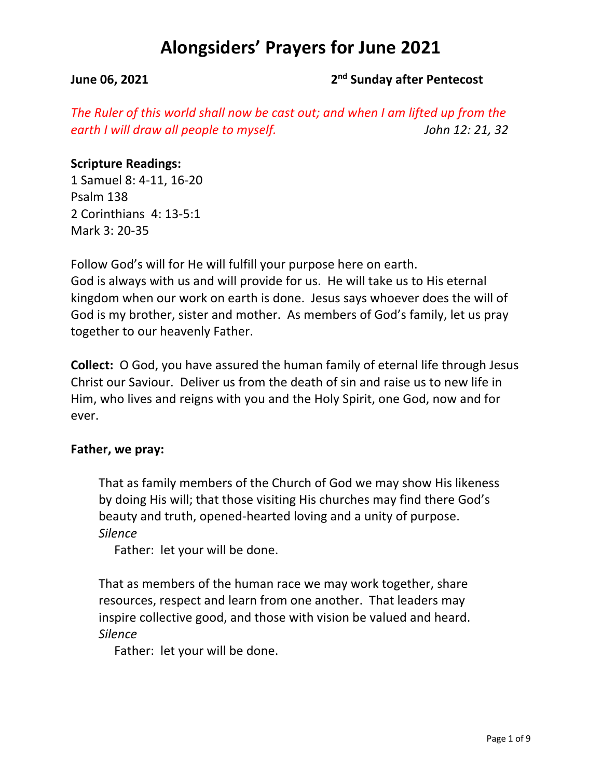### **June 06, 2021** 2<sup>nd</sup> Sunday after Pentecost

*The Ruler of this world shall now be cast out; and when I am lifted up from the earth I will draw all people to myself. John 12: 21, 32*

### **Scripture Readings:**

1 Samuel 8: 4-11, 16-20 Psalm 138 2 Corinthians 4: 13-5:1 Mark 3: 20-35

Follow God's will for He will fulfill your purpose here on earth. God is always with us and will provide for us. He will take us to His eternal kingdom when our work on earth is done. Jesus says whoever does the will of God is my brother, sister and mother. As members of God's family, let us pray together to our heavenly Father.

**Collect:** O God, you have assured the human family of eternal life through Jesus Christ our Saviour. Deliver us from the death of sin and raise us to new life in Him, who lives and reigns with you and the Holy Spirit, one God, now and for ever.

### **Father, we pray:**

That as family members of the Church of God we may show His likeness by doing His will; that those visiting His churches may find there God's beauty and truth, opened-hearted loving and a unity of purpose. *Silence*

Father: let your will be done.

That as members of the human race we may work together, share resources, respect and learn from one another. That leaders may inspire collective good, and those with vision be valued and heard. *Silence*

Father: let your will be done.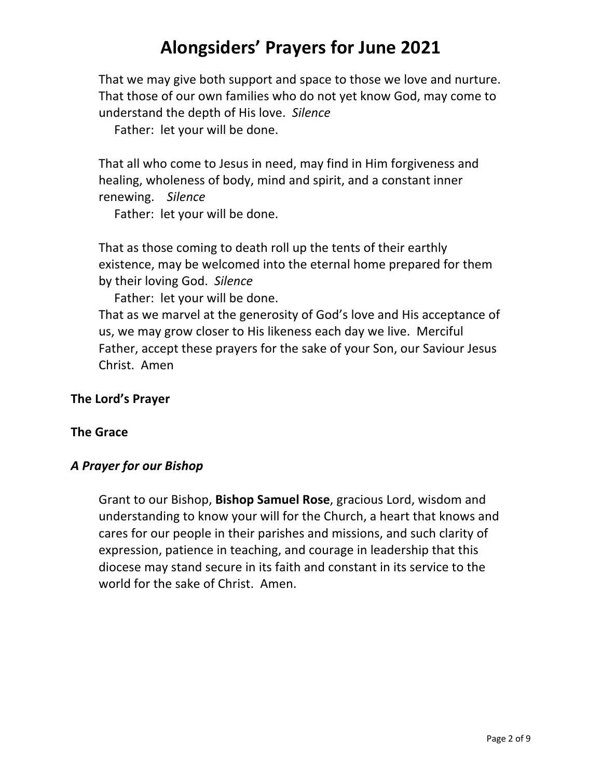That we may give both support and space to those we love and nurture. That those of our own families who do not yet know God, may come to understand the depth of His love. *Silence*

Father: let your will be done.

That all who come to Jesus in need, may find in Him forgiveness and healing, wholeness of body, mind and spirit, and a constant inner renewing. *Silence*

Father: let your will be done.

That as those coming to death roll up the tents of their earthly existence, may be welcomed into the eternal home prepared for them by their loving God. *Silence*

Father: let your will be done.

That as we marvel at the generosity of God's love and His acceptance of us, we may grow closer to His likeness each day we live. Merciful Father, accept these prayers for the sake of your Son, our Saviour Jesus Christ. Amen

### **The Lord's Prayer**

#### **The Grace**

### *A Prayer for our Bishop*

Grant to our Bishop, **Bishop Samuel Rose**, gracious Lord, wisdom and understanding to know your will for the Church, a heart that knows and cares for our people in their parishes and missions, and such clarity of expression, patience in teaching, and courage in leadership that this diocese may stand secure in its faith and constant in its service to the world for the sake of Christ. Amen.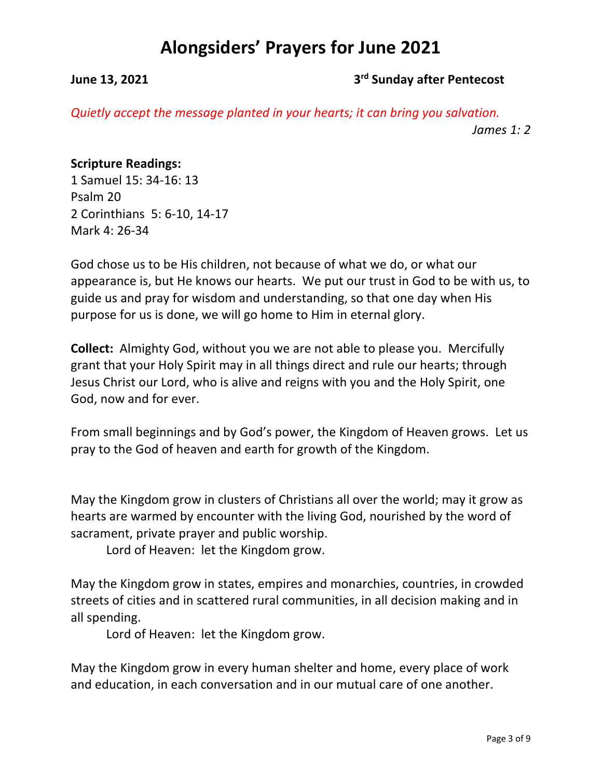## **June 13, 2021 3rd Sunday after Pentecost**

*Quietly accept the message planted in your hearts; it can bring you salvation. James 1: 2*

## **Scripture Readings:**

1 Samuel 15: 34-16: 13 Psalm 20 2 Corinthians 5: 6-10, 14-17 Mark 4: 26-34

God chose us to be His children, not because of what we do, or what our appearance is, but He knows our hearts. We put our trust in God to be with us, to guide us and pray for wisdom and understanding, so that one day when His purpose for us is done, we will go home to Him in eternal glory.

**Collect:** Almighty God, without you we are not able to please you. Mercifully grant that your Holy Spirit may in all things direct and rule our hearts; through Jesus Christ our Lord, who is alive and reigns with you and the Holy Spirit, one God, now and for ever.

From small beginnings and by God's power, the Kingdom of Heaven grows. Let us pray to the God of heaven and earth for growth of the Kingdom.

May the Kingdom grow in clusters of Christians all over the world; may it grow as hearts are warmed by encounter with the living God, nourished by the word of sacrament, private prayer and public worship.

Lord of Heaven: let the Kingdom grow.

May the Kingdom grow in states, empires and monarchies, countries, in crowded streets of cities and in scattered rural communities, in all decision making and in all spending.

Lord of Heaven: let the Kingdom grow.

May the Kingdom grow in every human shelter and home, every place of work and education, in each conversation and in our mutual care of one another.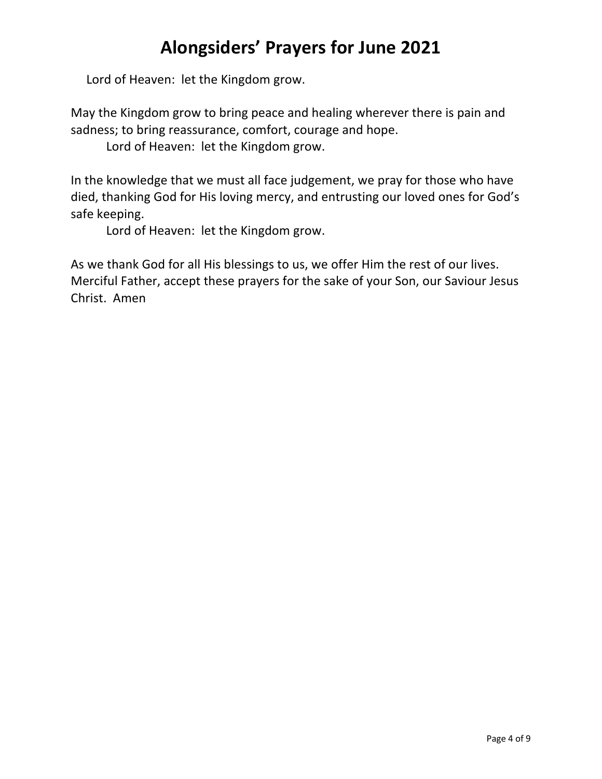Lord of Heaven: let the Kingdom grow.

May the Kingdom grow to bring peace and healing wherever there is pain and sadness; to bring reassurance, comfort, courage and hope.

Lord of Heaven: let the Kingdom grow.

In the knowledge that we must all face judgement, we pray for those who have died, thanking God for His loving mercy, and entrusting our loved ones for God's safe keeping.

Lord of Heaven: let the Kingdom grow.

As we thank God for all His blessings to us, we offer Him the rest of our lives. Merciful Father, accept these prayers for the sake of your Son, our Saviour Jesus Christ. Amen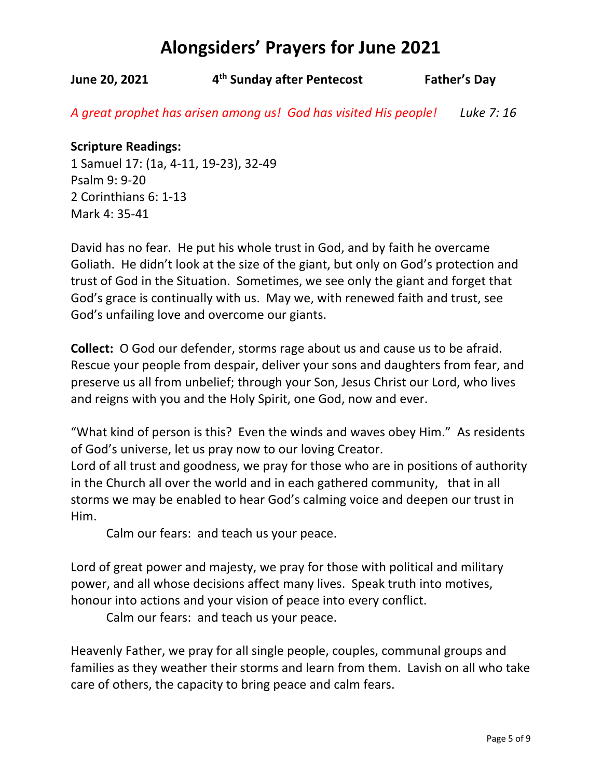**June 20, 2021 4th Sunday after Pentecost Father's Day**

*A great prophet has arisen among us! God has visited His people! Luke 7: 16*

### **Scripture Readings:**

1 Samuel 17: (1a, 4-11, 19-23), 32-49 Psalm 9: 9-20 2 Corinthians 6: 1-13 Mark 4: 35-41

David has no fear. He put his whole trust in God, and by faith he overcame Goliath. He didn't look at the size of the giant, but only on God's protection and trust of God in the Situation. Sometimes, we see only the giant and forget that God's grace is continually with us. May we, with renewed faith and trust, see God's unfailing love and overcome our giants.

**Collect:** O God our defender, storms rage about us and cause us to be afraid. Rescue your people from despair, deliver your sons and daughters from fear, and preserve us all from unbelief; through your Son, Jesus Christ our Lord, who lives and reigns with you and the Holy Spirit, one God, now and ever.

"What kind of person is this? Even the winds and waves obey Him." As residents of God's universe, let us pray now to our loving Creator.

Lord of all trust and goodness, we pray for those who are in positions of authority in the Church all over the world and in each gathered community, that in all storms we may be enabled to hear God's calming voice and deepen our trust in Him.

Calm our fears: and teach us your peace.

Lord of great power and majesty, we pray for those with political and military power, and all whose decisions affect many lives. Speak truth into motives, honour into actions and your vision of peace into every conflict.

Calm our fears: and teach us your peace.

Heavenly Father, we pray for all single people, couples, communal groups and families as they weather their storms and learn from them. Lavish on all who take care of others, the capacity to bring peace and calm fears.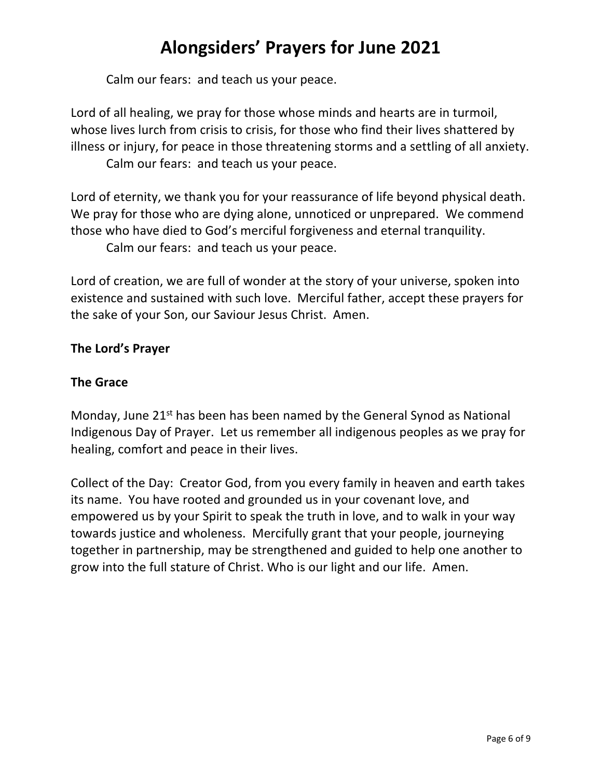Calm our fears: and teach us your peace.

Lord of all healing, we pray for those whose minds and hearts are in turmoil, whose lives lurch from crisis to crisis, for those who find their lives shattered by illness or injury, for peace in those threatening storms and a settling of all anxiety. Calm our fears: and teach us your peace.

Lord of eternity, we thank you for your reassurance of life beyond physical death. We pray for those who are dying alone, unnoticed or unprepared. We commend those who have died to God's merciful forgiveness and eternal tranquility. Calm our fears: and teach us your peace.

Lord of creation, we are full of wonder at the story of your universe, spoken into existence and sustained with such love. Merciful father, accept these prayers for the sake of your Son, our Saviour Jesus Christ. Amen.

# **The Lord's Prayer**

# **The Grace**

Monday, June  $21^{st}$  has been has been named by the General Synod as National Indigenous Day of Prayer. Let us remember all indigenous peoples as we pray for healing, comfort and peace in their lives.

Collect of the Day: Creator God, from you every family in heaven and earth takes its name. You have rooted and grounded us in your covenant love, and empowered us by your Spirit to speak the truth in love, and to walk in your way towards justice and wholeness. Mercifully grant that your people, journeying together in partnership, may be strengthened and guided to help one another to grow into the full stature of Christ. Who is our light and our life. Amen.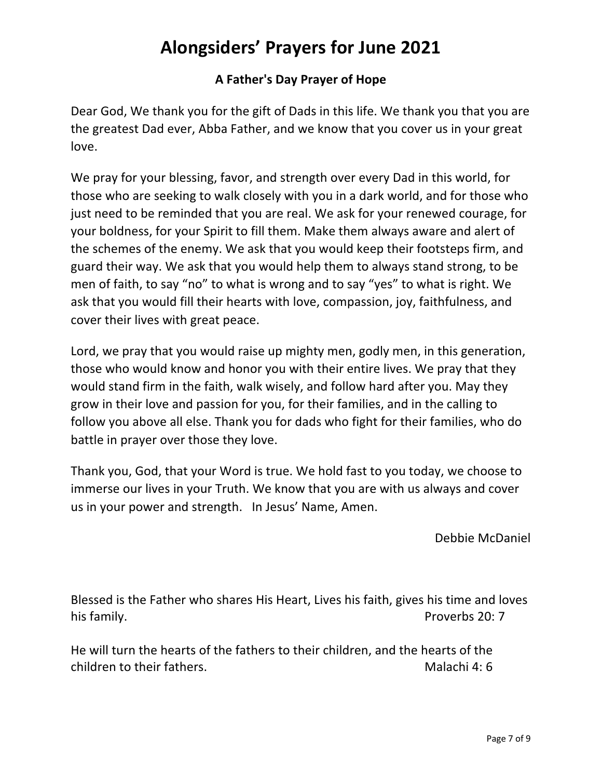# **A Father's Day Prayer of Hope**

Dear God, We thank you for the gift of Dads in this life. We thank you that you are the greatest Dad ever, Abba Father, and we know that you cover us in your great love.

We pray for your blessing, favor, and strength over every Dad in this world, for those who are seeking to walk closely with you in a dark world, and for those who just need to be reminded that you are real. We ask for your renewed courage, for your boldness, for your Spirit to fill them. Make them always aware and alert of the schemes of the enemy. We ask that you would keep their footsteps firm, and guard their way. We ask that you would help them to always stand strong, to be men of faith, to say "no" to what is wrong and to say "yes" to what is right. We ask that you would fill their hearts with love, compassion, joy, faithfulness, and cover their lives with great peace.

Lord, we pray that you would raise up mighty men, godly men, in this generation, those who would know and honor you with their entire lives. We pray that they would stand firm in the faith, walk wisely, and follow hard after you. May they grow in their love and passion for you, for their families, and in the calling to follow you above all else. Thank you for dads who fight for their families, who do battle in prayer over those they love.

Thank you, God, that your Word is true. We hold fast to you today, we choose to immerse our lives in your Truth. We know that you are with us always and cover us in your power and strength. In Jesus' Name, Amen.

Debbie McDaniel

Blessed is the Father who shares His Heart, Lives his faith, gives his time and loves his family. **Proverbs** 20: 7

He will turn the hearts of the fathers to their children, and the hearts of the children to their fathers. Children to their fathers.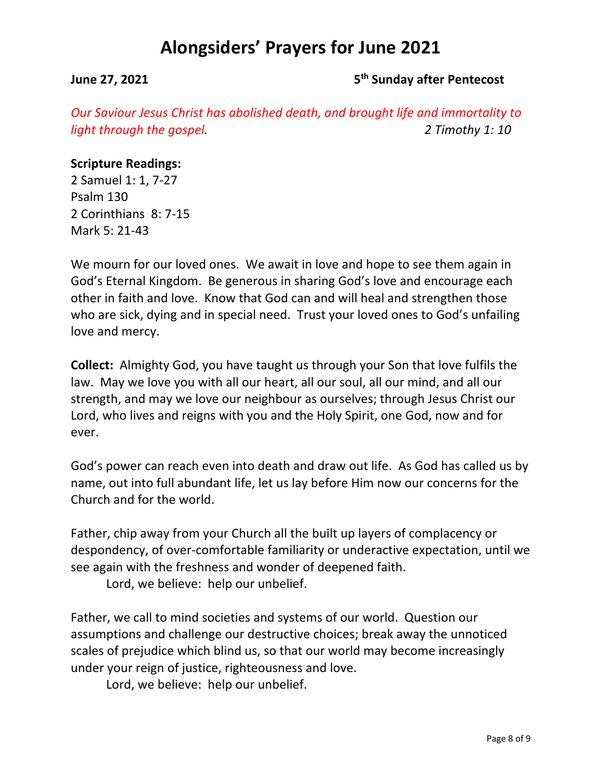#### **June 27, 2021 5th Sunday after Pentecost**

*Our Saviour Jesus Christ has abolished death, and brought life and immortality to light through the gospel. 2 Timothy 1: 10*

#### **Scripture Readings:**

2 Samuel 1: 1, 7-27 Psalm 130 2 Corinthians 8: 7-15 Mark 5: 21-43

We mourn for our loved ones. We await in love and hope to see them again in God's Eternal Kingdom. Be generous in sharing God's love and encourage each other in faith and love. Know that God can and will heal and strengthen those who are sick, dying and in special need. Trust your loved ones to God's unfailing love and mercy.

**Collect:** Almighty God, you have taught us through your Son that love fulfils the law. May we love you with all our heart, all our soul, all our mind, and all our strength, and may we love our neighbour as ourselves; through Jesus Christ our Lord, who lives and reigns with you and the Holy Spirit, one God, now and for ever.

God's power can reach even into death and draw out life. As God has called us by name, out into full abundant life, let us lay before Him now our concerns for the Church and for the world.

Father, chip away from your Church all the built up layers of complacency or despondency, of over-comfortable familiarity or underactive expectation, until we see again with the freshness and wonder of deepened faith.

Lord, we believe: help our unbelief.

Father, we call to mind societies and systems of our world. Question our assumptions and challenge our destructive choices; break away the unnoticed scales of prejudice which blind us, so that our world may become increasingly under your reign of justice, righteousness and love.

Lord, we believe: help our unbelief.